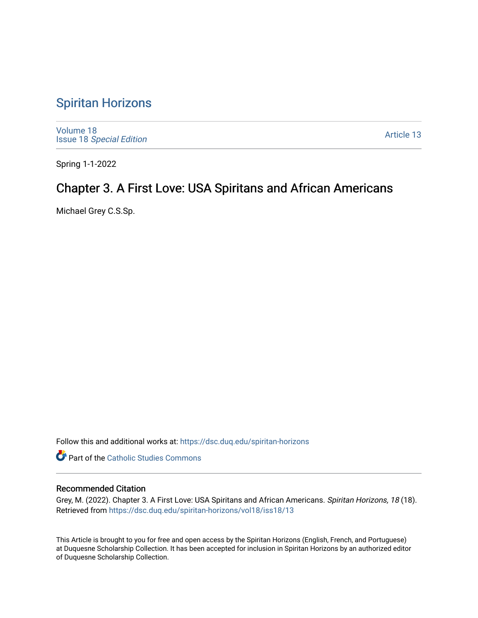## [Spiritan Horizons](https://dsc.duq.edu/spiritan-horizons)

[Volume 18](https://dsc.duq.edu/spiritan-horizons/vol18) Issue 18 [Special Edition](https://dsc.duq.edu/spiritan-horizons/vol18/iss18) 

[Article 13](https://dsc.duq.edu/spiritan-horizons/vol18/iss18/13) 

Spring 1-1-2022

# Chapter 3. A First Love: USA Spiritans and African Americans

Michael Grey C.S.Sp.

Follow this and additional works at: [https://dsc.duq.edu/spiritan-horizons](https://dsc.duq.edu/spiritan-horizons?utm_source=dsc.duq.edu%2Fspiritan-horizons%2Fvol18%2Fiss18%2F13&utm_medium=PDF&utm_campaign=PDFCoverPages)

**Part of the [Catholic Studies Commons](http://network.bepress.com/hgg/discipline/1294?utm_source=dsc.duq.edu%2Fspiritan-horizons%2Fvol18%2Fiss18%2F13&utm_medium=PDF&utm_campaign=PDFCoverPages)** 

#### Recommended Citation

Grey, M. (2022). Chapter 3. A First Love: USA Spiritans and African Americans. Spiritan Horizons, 18 (18). Retrieved from [https://dsc.duq.edu/spiritan-horizons/vol18/iss18/13](https://dsc.duq.edu/spiritan-horizons/vol18/iss18/13?utm_source=dsc.duq.edu%2Fspiritan-horizons%2Fvol18%2Fiss18%2F13&utm_medium=PDF&utm_campaign=PDFCoverPages) 

This Article is brought to you for free and open access by the Spiritan Horizons (English, French, and Portuguese) at Duquesne Scholarship Collection. It has been accepted for inclusion in Spiritan Horizons by an authorized editor of Duquesne Scholarship Collection.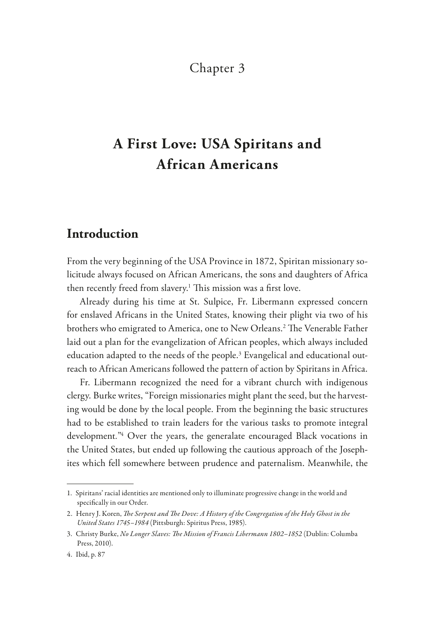#### Chapter 3

# **A First Love: USA Spiritans and African Americans**

#### **Introduction**

From the very beginning of the USA Province in 1872, Spiritan missionary solicitude always focused on African Americans, the sons and daughters of Africa then recently freed from slavery.<sup>1</sup> This mission was a first love.

Already during his time at St. Sulpice, Fr. Libermann expressed concern for enslaved Africans in the United States, knowing their plight via two of his brothers who emigrated to America, one to New Orleans.<sup>2</sup> The Venerable Father laid out a plan for the evangelization of African peoples, which always included education adapted to the needs of the people.<sup>3</sup> Evangelical and educational outreach to African Americans followed the pattern of action by Spiritans in Africa.

Fr. Libermann recognized the need for a vibrant church with indigenous clergy. Burke writes, "Foreign missionaries might plant the seed, but the harvesting would be done by the local people. From the beginning the basic structures had to be established to train leaders for the various tasks to promote integral development*.*" 4 Over the years, the generalate encouraged Black vocations in the United States, but ended up following the cautious approach of the Josephites which fell somewhere between prudence and paternalism. Meanwhile, the

<sup>1.</sup> Spiritans' racial identities are mentioned only to illuminate progressive change in the world and specifcally in our Order.

<sup>2.</sup> Henry J. Koren, *The Serpent and The Dove: A History of the Congregation of the Holy Ghost in the United States 1745–1984* (Pittsburgh: Spiritus Press, 1985).

<sup>3.</sup> Christy Burke, *No Longer Slaves: The Mission of Francis Libermann 1802-1852* (Dublin: Columba Press, 2010).

<sup>4.</sup> Ibid, p. 87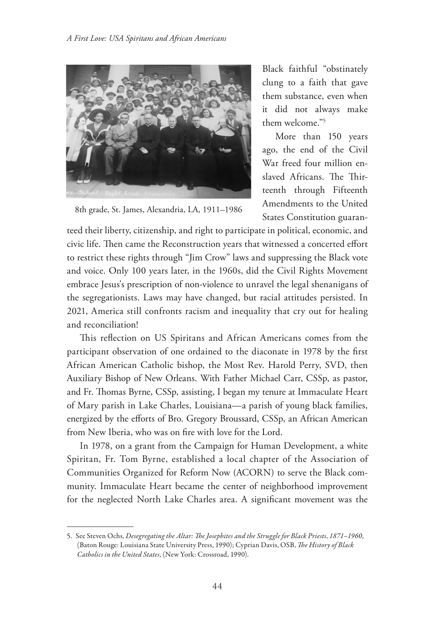

8th grade, St. James, Alexandria, LA, 1911–1986

Black faithful "obstinately clung to a faith that gave them substance, even when it did not always make them welcome."5

More than 150 years ago, the end of the Civil War freed four million enslaved Africans. The Thirteenth through Fifteenth Amendments to the United States Constitution guaran-

teed their liberty, citizenship, and right to participate in political, economic, and civic life. Then came the Reconstruction years that witnessed a concerted effort to restrict these rights through "Jim Crow" laws and suppressing the Black vote and voice. Only 100 years later, in the 1960s, did the Civil Rights Movement embrace Jesus's prescription of non-violence to unravel the legal shenanigans of the segregationists. Laws may have changed, but racial attitudes persisted. In 2021, America still confronts racism and inequality that cry out for healing and reconciliation!

This reflection on US Spiritans and African Americans comes from the participant observation of one ordained to the diaconate in 1978 by the frst African American Catholic bishop, the Most Rev. Harold Perry, SVD, then Auxiliary Bishop of New Orleans. With Father Michael Carr, CSSp, as pastor, and Fr. Thomas Byrne, CSSp, assisting, I began my tenure at Immaculate Heart of Mary parish in Lake Charles, Louisiana—a parish of young black families, energized by the efforts of Bro. Gregory Broussard, CSSp, an African American from New Iberia, who was on fre with love for the Lord.

In 1978, on a grant from the Campaign for Human Development, a white Spiritan, Fr. Tom Byrne, established a local chapter of the Association of Communities Organized for Reform Now (ACORN) to serve the Black community. Immaculate Heart became the center of neighborhood improvement for the neglected North Lake Charles area. A signifcant movement was the

<sup>5.</sup> See Steven Ochs, *Desegregating the Altar: Te Josephites and the Struggle for Black Priests*, *1871–1960*, (Baton Rouge: Louisiana State University Press, 1990); Cyprian Davis, OSB, *Te History of Black Catholics in the United States*, (New York: Crossroad, 1990).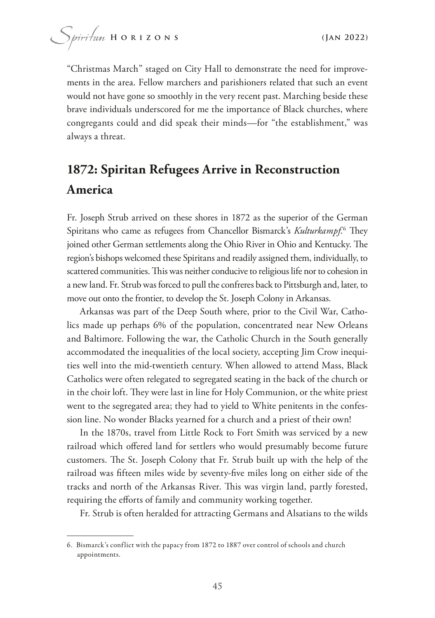"Christmas March" staged on City Hall to demonstrate the need for improvements in the area. Fellow marchers and parishioners related that such an event would not have gone so smoothly in the very recent past. Marching beside these brave individuals underscored for me the importance of Black churches, where congregants could and did speak their minds—for "the establishment," was always a threat.

# **1872: Spiritan Refugees Arrive in Reconstruction America**

Fr. Joseph Strub arrived on these shores in 1872 as the superior of the German Spiritans who came as refugees from Chancellor Bismarck's *Kulturkampf*.<sup>6</sup> They joined other German settlements along the Ohio River in Ohio and Kentucky. The region's bishops welcomed these Spiritans and readily assigned them, individually, to scattered communities. This was neither conducive to religious life nor to cohesion in a new land. Fr. Strub was forced to pull the confreres back to Pittsburgh and, later, to move out onto the frontier, to develop the St. Joseph Colony in Arkansas.

Arkansas was part of the Deep South where, prior to the Civil War, Catholics made up perhaps 6% of the population, concentrated near New Orleans and Baltimore. Following the war, the Catholic Church in the South generally accommodated the inequalities of the local society, accepting Jim Crow inequities well into the mid-twentieth century. When allowed to attend Mass, Black Catholics were often relegated to segregated seating in the back of the church or in the choir loft. They were last in line for Holy Communion, or the white priest went to the segregated area; they had to yield to White penitents in the confession line. No wonder Blacks yearned for a church and a priest of their own!

In the 1870s, travel from Little Rock to Fort Smith was serviced by a new railroad which ofered land for settlers who would presumably become future customers. The St. Joseph Colony that Fr. Strub built up with the help of the railroad was ffteen miles wide by seventy-fve miles long on either side of the tracks and north of the Arkansas River. This was virgin land, partly forested, requiring the efforts of family and community working together.

Fr. Strub is often heralded for attracting Germans and Alsatians to the wilds

<sup>6.</sup> Bismarck's conflict with the papacy from 1872 to 1887 over control of schools and church appointments.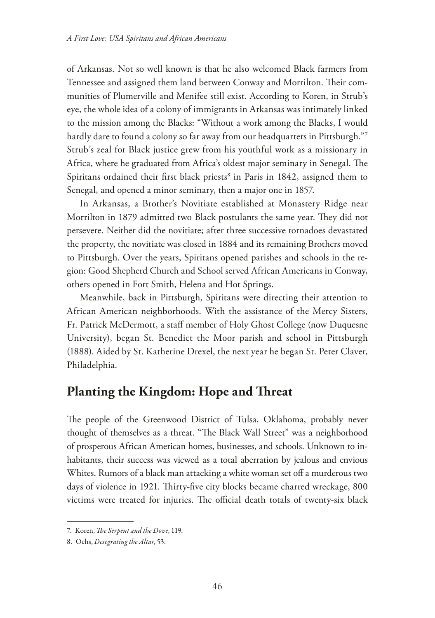of Arkansas. Not so well known is that he also welcomed Black farmers from Tennessee and assigned them land between Conway and Morrilton. Their communities of Plumerville and Menifee still exist. According to Koren, in Strub's eye, the whole idea of a colony of immigrants in Arkansas was intimately linked to the mission among the Blacks: "Without a work among the Blacks, I would hardly dare to found a colony so far away from our headquarters in Pittsburgh."7 Strub's zeal for Black justice grew from his youthful work as a missionary in Africa, where he graduated from Africa's oldest major seminary in Senegal. The Spiritans ordained their first black priests<sup>8</sup> in Paris in 1842, assigned them to Senegal, and opened a minor seminary, then a major one in 1857.

In Arkansas, a Brother's Novitiate established at Monastery Ridge near Morrilton in 1879 admitted two Black postulants the same year. They did not persevere. Neither did the novitiate; after three successive tornadoes devastated the property, the novitiate was closed in 1884 and its remaining Brothers moved to Pittsburgh. Over the years, Spiritans opened parishes and schools in the region: Good Shepherd Church and School served African Americans in Conway, others opened in Fort Smith, Helena and Hot Springs.

Meanwhile, back in Pittsburgh, Spiritans were directing their attention to African American neighborhoods. With the assistance of the Mercy Sisters, Fr. Patrick McDermott, a staf member of Holy Ghost College (now Duquesne University), began St. Benedict the Moor parish and school in Pittsburgh (1888). Aided by St. Katherine Drexel, the next year he began St. Peter Claver, Philadelphia.

### **Planting the Kingdom: Hope and Threat**

The people of the Greenwood District of Tulsa, Oklahoma, probably never thought of themselves as a threat. "The Black Wall Street" was a neighborhood of prosperous African American homes, businesses, and schools. Unknown to inhabitants, their success was viewed as a total aberration by jealous and envious Whites. Rumors of a black man attacking a white woman set off a murderous two days of violence in 1921. Tirty-fve city blocks became charred wreckage, 800 victims were treated for injuries. The official death totals of twenty-six black

<sup>7.</sup> Koren, *The Serpent and the Dove*, 119.

<sup>8.</sup> Ochs, *Desegrating the Altar*, 53.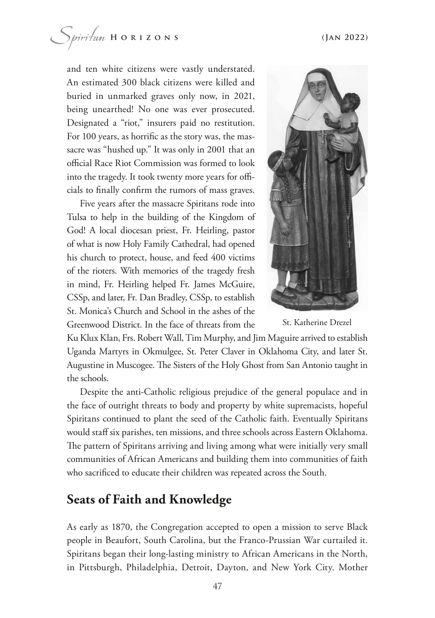and ten white citizens were vastly understated. An estimated 300 black citizens were killed and buried in unmarked graves only now, in 2021, being unearthed! No one was ever prosecuted. Designated a "riot," insurers paid no restitution. For 100 years, as horrifc as the story was, the massacre was "hushed up." It was only in 2001 that an official Race Riot Commission was formed to look into the tragedy. It took twenty more years for officials to fnally confrm the rumors of mass graves.

Five years after the massacre Spiritans rode into Tulsa to help in the building of the Kingdom of God! A local diocesan priest, Fr. Heirling, pastor of what is now Holy Family Cathedral, had opened his church to protect, house, and feed 400 victims of the rioters. With memories of the tragedy fresh in mind, Fr. Heirling helped Fr. James McGuire, CSSp, and later, Fr. Dan Bradley, CSSp, to establish St. Monica's Church and School in the ashes of the Greenwood District. In the face of threats from the



St. Katherine Drezel

Ku Klux Klan, Frs. Robert Wall, Tim Murphy, and Jim Maguire arrived to establish Uganda Martyrs in Okmulgee, St. Peter Claver in Oklahoma City, and later St. Augustine in Muscogee. The Sisters of the Holy Ghost from San Antonio taught in the schools.

Despite the anti-Catholic religious prejudice of the general populace and in the face of outright threats to body and property by white supremacists, hopeful Spiritans continued to plant the seed of the Catholic faith. Eventually Spiritans would staff six parishes, ten missions, and three schools across Eastern Oklahoma. The pattern of Spiritans arriving and living among what were initially very small communities of African Americans and building them into communities of faith who sacrifced to educate their children was repeated across the South.

### **Seats of Faith and Knowledge**

As early as 1870, the Congregation accepted to open a mission to serve Black people in Beaufort, South Carolina, but the Franco-Prussian War curtailed it. Spiritans began their long-lasting ministry to African Americans in the North, in Pittsburgh, Philadelphia, Detroit, Dayton, and New York City. Mother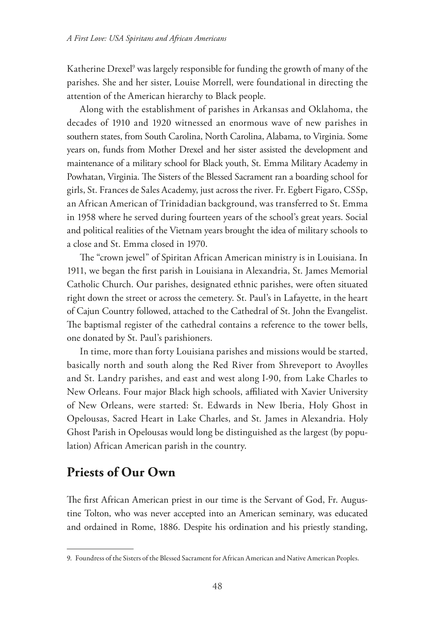Katherine Drexel<sup>9</sup> was largely responsible for funding the growth of many of the parishes. She and her sister, Louise Morrell, were foundational in directing the attention of the American hierarchy to Black people.

Along with the establishment of parishes in Arkansas and Oklahoma, the decades of 1910 and 1920 witnessed an enormous wave of new parishes in southern states, from South Carolina, North Carolina, Alabama, to Virginia. Some years on, funds from Mother Drexel and her sister assisted the development and maintenance of a military school for Black youth, St. Emma Military Academy in Powhatan, Virginia. The Sisters of the Blessed Sacrament ran a boarding school for girls, St. Frances de Sales Academy, just across the river. Fr. Egbert Figaro, CSSp, an African American of Trinidadian background, was transferred to St. Emma in 1958 where he served during fourteen years of the school's great years. Social and political realities of the Vietnam years brought the idea of military schools to a close and St. Emma closed in 1970.

The "crown jewel" of Spiritan African American ministry is in Louisiana. In 1911, we began the frst parish in Louisiana in Alexandria, St. James Memorial Catholic Church. Our parishes, designated ethnic parishes, were often situated right down the street or across the cemetery. St. Paul's in Lafayette, in the heart of Cajun Country followed, attached to the Cathedral of St. John the Evangelist. The baptismal register of the cathedral contains a reference to the tower bells, one donated by St. Paul's parishioners.

In time, more than forty Louisiana parishes and missions would be started, basically north and south along the Red River from Shreveport to Avoylles and St. Landry parishes, and east and west along I-90, from Lake Charles to New Orleans. Four major Black high schools, afliated with Xavier University of New Orleans, were started: St. Edwards in New Iberia, Holy Ghost in Opelousas, Sacred Heart in Lake Charles, and St. James in Alexandria. Holy Ghost Parish in Opelousas would long be distinguished as the largest (by population) African American parish in the country.

### **Priests of Our Own**

The first African American priest in our time is the Servant of God, Fr. Augustine Tolton, who was never accepted into an American seminary, was educated and ordained in Rome, 1886. Despite his ordination and his priestly standing,

<sup>9.</sup> Foundress of the Sisters of the Blessed Sacrament for African American and Native American Peoples.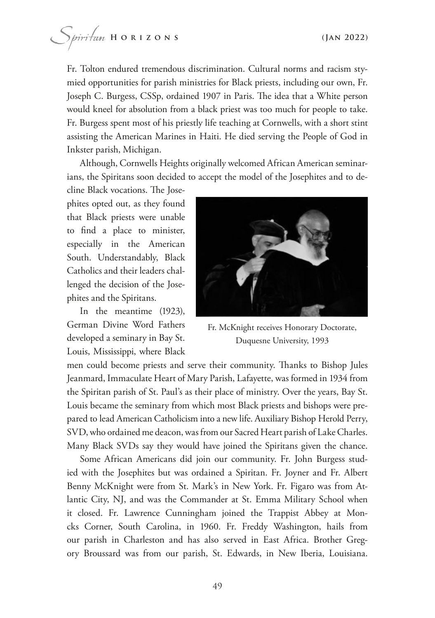Fr. Tolton endured tremendous discrimination. Cultural norms and racism stymied opportunities for parish ministries for Black priests, including our own, Fr. Joseph C. Burgess, CSSp, ordained 1907 in Paris. The idea that a White person would kneel for absolution from a black priest was too much for people to take. Fr. Burgess spent most of his priestly life teaching at Cornwells, with a short stint assisting the American Marines in Haiti. He died serving the People of God in Inkster parish, Michigan.

Although, Cornwells Heights originally welcomed African American seminarians, the Spiritans soon decided to accept the model of the Josephites and to de-

cline Black vocations. The Josephites opted out, as they found that Black priests were unable to fnd a place to minister, especially in the American South. Understandably, Black Catholics and their leaders challenged the decision of the Josephites and the Spiritans.

In the meantime (1923), German Divine Word Fathers developed a seminary in Bay St. Louis, Mississippi, where Black



Fr. McKnight receives Honorary Doctorate, Duquesne University, 1993

men could become priests and serve their community. Thanks to Bishop Jules Jeanmard, Immaculate Heart of Mary Parish, Lafayette, was formed in 1934 from the Spiritan parish of St. Paul's as their place of ministry. Over the years, Bay St. Louis became the seminary from which most Black priests and bishops were prepared to lead American Catholicism into a new life. Auxiliary Bishop Herold Perry, SVD, who ordained me deacon, was from our Sacred Heart parish of Lake Charles. Many Black SVDs say they would have joined the Spiritans given the chance.

Some African Americans did join our community. Fr. John Burgess studied with the Josephites but was ordained a Spiritan. Fr. Joyner and Fr. Albert Benny McKnight were from St. Mark's in New York. Fr. Figaro was from Atlantic City, NJ, and was the Commander at St. Emma Military School when it closed. Fr. Lawrence Cunningham joined the Trappist Abbey at Moncks Corner, South Carolina, in 1960. Fr. Freddy Washington, hails from our parish in Charleston and has also served in East Africa. Brother Gregory Broussard was from our parish, St. Edwards, in New Iberia, Louisiana.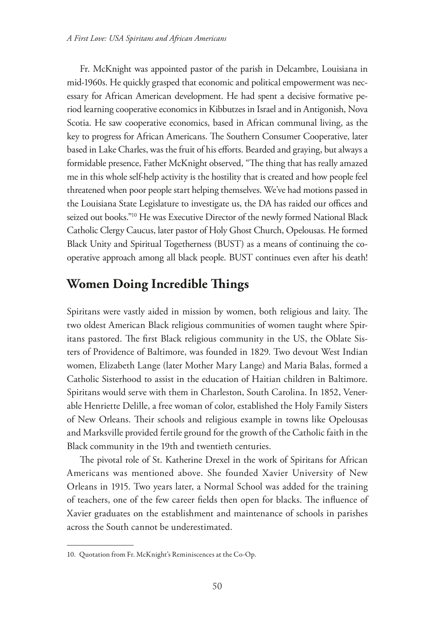Fr. McKnight was appointed pastor of the parish in Delcambre, Louisiana in mid-1960s. He quickly grasped that economic and political empowerment was necessary for African American development. He had spent a decisive formative period learning cooperative economics in Kibbutzes in Israel and in Antigonish, Nova Scotia. He saw cooperative economics, based in African communal living, as the key to progress for African Americans. The Southern Consumer Cooperative, later based in Lake Charles, was the fruit of his efforts. Bearded and graying, but always a formidable presence, Father McKnight observed, "The thing that has really amazed me in this whole self-help activity is the hostility that is created and how people feel threatened when poor people start helping themselves. We've had motions passed in the Louisiana State Legislature to investigate us, the DA has raided our offices and seized out books."<sup>10</sup> He was Executive Director of the newly formed National Black Catholic Clergy Caucus, later pastor of Holy Ghost Church, Opelousas. He formed Black Unity and Spiritual Togetherness (BUST) as a means of continuing the cooperative approach among all black people. BUST continues even after his death!

#### **Women Doing Incredible Things**

Spiritans were vastly aided in mission by women, both religious and laity. The two oldest American Black religious communities of women taught where Spiritans pastored. The first Black religious community in the US, the Oblate Sisters of Providence of Baltimore, was founded in 1829. Two devout West Indian women, Elizabeth Lange (later Mother Mary Lange) and Maria Balas, formed a Catholic Sisterhood to assist in the education of Haitian children in Baltimore. Spiritans would serve with them in Charleston, South Carolina. In 1852, Venerable Henriette Delille, a free woman of color, established the Holy Family Sisters of New Orleans. Their schools and religious example in towns like Opelousas and Marksville provided fertile ground for the growth of the Catholic faith in the Black community in the 19th and twentieth centuries.

The pivotal role of St. Katherine Drexel in the work of Spiritans for African Americans was mentioned above. She founded Xavier University of New Orleans in 1915. Two years later, a Normal School was added for the training of teachers, one of the few career fields then open for blacks. The influence of Xavier graduates on the establishment and maintenance of schools in parishes across the South cannot be underestimated.

<sup>10.</sup> Quotation from Fr. McKnight's Reminiscences at the Co-Op.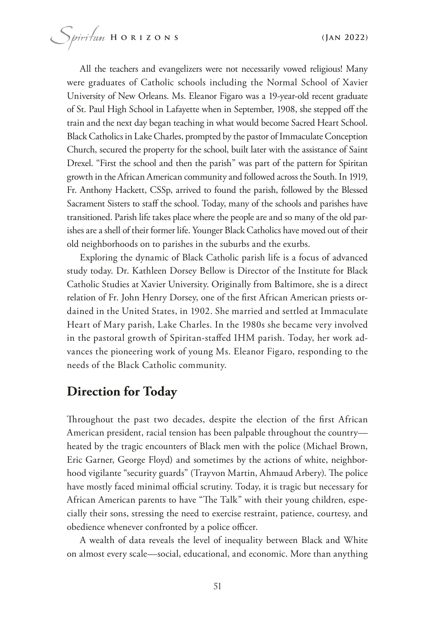All the teachers and evangelizers were not necessarily vowed religious! Many were graduates of Catholic schools including the Normal School of Xavier University of New Orleans. Ms. Eleanor Figaro was a 19-year-old recent graduate of St. Paul High School in Lafayette when in September, 1908, she stepped of the train and the next day began teaching in what would become Sacred Heart School. Black Catholics in Lake Charles, prompted by the pastor of Immaculate Conception Church, secured the property for the school, built later with the assistance of Saint Drexel. "First the school and then the parish" was part of the pattern for Spiritan growth in the African American community and followed across the South. In 1919, Fr. Anthony Hackett, CSSp, arrived to found the parish, followed by the Blessed Sacrament Sisters to staff the school. Today, many of the schools and parishes have transitioned. Parish life takes place where the people are and so many of the old parishes are a shell of their former life. Younger Black Catholics have moved out of their old neighborhoods on to parishes in the suburbs and the exurbs.

Exploring the dynamic of Black Catholic parish life is a focus of advanced study today. Dr. Kathleen Dorsey Bellow is Director of the Institute for Black Catholic Studies at Xavier University. Originally from Baltimore, she is a direct relation of Fr. John Henry Dorsey, one of the frst African American priests ordained in the United States, in 1902. She married and settled at Immaculate Heart of Mary parish, Lake Charles. In the 1980s she became very involved in the pastoral growth of Spiritan-stafed IHM parish. Today, her work advances the pioneering work of young Ms. Eleanor Figaro, responding to the needs of the Black Catholic community.

### **Direction for Today**

Throughout the past two decades, despite the election of the first African American president, racial tension has been palpable throughout the country heated by the tragic encounters of Black men with the police (Michael Brown, Eric Garner, George Floyd) and sometimes by the actions of white, neighborhood vigilante "security guards" (Trayvon Martin, Ahmaud Arbery). The police have mostly faced minimal official scrutiny. Today, it is tragic but necessary for African American parents to have "The Talk" with their young children, especially their sons, stressing the need to exercise restraint, patience, courtesy, and obedience whenever confronted by a police officer.

A wealth of data reveals the level of inequality between Black and White on almost every scale—social, educational, and economic. More than anything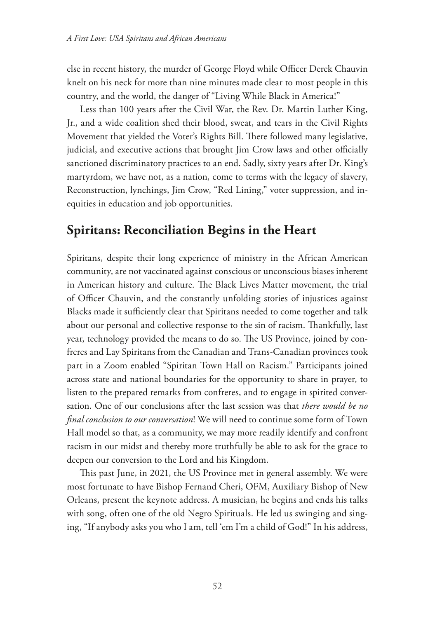else in recent history, the murder of George Floyd while Officer Derek Chauvin knelt on his neck for more than nine minutes made clear to most people in this country, and the world, the danger of "Living While Black in America!"

Less than 100 years after the Civil War, the Rev. Dr. Martin Luther King, Jr., and a wide coalition shed their blood, sweat, and tears in the Civil Rights Movement that yielded the Voter's Rights Bill. There followed many legislative, judicial, and executive actions that brought Jim Crow laws and other officially sanctioned discriminatory practices to an end. Sadly, sixty years after Dr. King's martyrdom, we have not, as a nation, come to terms with the legacy of slavery, Reconstruction, lynchings, Jim Crow, "Red Lining," voter suppression, and inequities in education and job opportunities.

### **Spiritans: Reconciliation Begins in the Heart**

Spiritans, despite their long experience of ministry in the African American community, are not vaccinated against conscious or unconscious biases inherent in American history and culture. The Black Lives Matter movement, the trial of Officer Chauvin, and the constantly unfolding stories of injustices against Blacks made it sufficiently clear that Spiritans needed to come together and talk about our personal and collective response to the sin of racism. Tankfully, last year, technology provided the means to do so. The US Province, joined by confreres and Lay Spiritans from the Canadian and Trans-Canadian provinces took part in a Zoom enabled "Spiritan Town Hall on Racism." Participants joined across state and national boundaries for the opportunity to share in prayer, to listen to the prepared remarks from confreres, and to engage in spirited conversation. One of our conclusions after the last session was that *there would be no fnal conclusion to our conversation*! We will need to continue some form of Town Hall model so that, as a community, we may more readily identify and confront racism in our midst and thereby more truthfully be able to ask for the grace to deepen our conversion to the Lord and his Kingdom.

This past June, in 2021, the US Province met in general assembly. We were most fortunate to have Bishop Fernand Cheri, OFM, Auxiliary Bishop of New Orleans, present the keynote address. A musician, he begins and ends his talks with song, often one of the old Negro Spirituals. He led us swinging and singing, "If anybody asks you who I am, tell 'em I'm a child of God!" In his address,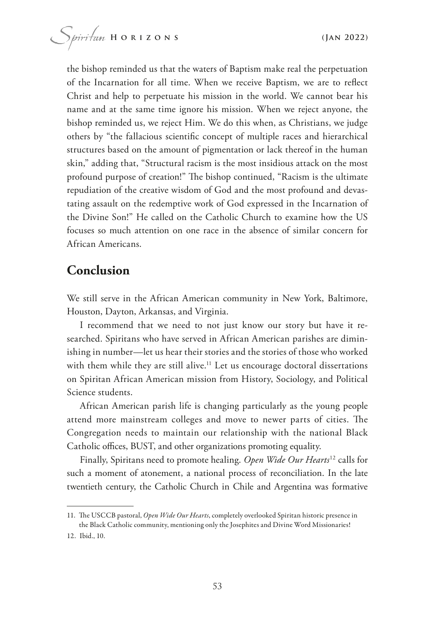the bishop reminded us that the waters of Baptism make real the perpetuation of the Incarnation for all time. When we receive Baptism, we are to refect Christ and help to perpetuate his mission in the world. We cannot bear his name and at the same time ignore his mission. When we reject anyone, the bishop reminded us, we reject Him. We do this when, as Christians, we judge others by "the fallacious scientifc concept of multiple races and hierarchical structures based on the amount of pigmentation or lack thereof in the human skin," adding that, "Structural racism is the most insidious attack on the most profound purpose of creation!" The bishop continued, "Racism is the ultimate repudiation of the creative wisdom of God and the most profound and devastating assault on the redemptive work of God expressed in the Incarnation of the Divine Son!" He called on the Catholic Church to examine how the US focuses so much attention on one race in the absence of similar concern for African Americans.

### **Conclusion**

We still serve in the African American community in New York, Baltimore, Houston, Dayton, Arkansas, and Virginia.

I recommend that we need to not just know our story but have it researched. Spiritans who have served in African American parishes are diminishing in number—let us hear their stories and the stories of those who worked with them while they are still alive.<sup>11</sup> Let us encourage doctoral dissertations on Spiritan African American mission from History, Sociology, and Political Science students.

African American parish life is changing particularly as the young people attend more mainstream colleges and move to newer parts of cities. The Congregation needs to maintain our relationship with the national Black Catholic offices, BUST, and other organizations promoting equality.

Finally, Spiritans need to promote healing. *Open Wide Our Hearts*12 calls for such a moment of atonement, a national process of reconciliation. In the late twentieth century, the Catholic Church in Chile and Argentina was formative

<sup>11.</sup> The USCCB pastoral, Open Wide Our Hearts, completely overlooked Spiritan historic presence in the Black Catholic community, mentioning only the Josephites and Divine Word Missionaries! 12. Ibid., 10.